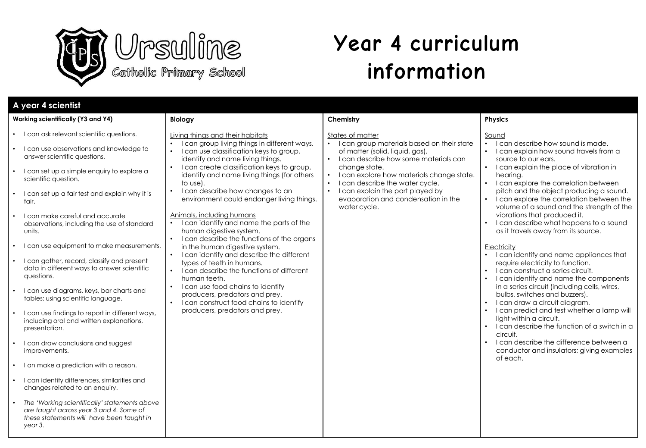

# **Year 4 curriculum information**

| A year 4 scientist                                                                                                                                                                                                                                                                                                                                                                                                                                                                                                                                                                                                                                                                                                                                                                                                                                                                                                                                                                                                                                                                             |                                                                                                                                                                                                                                                                                                                                                                                                                                                                                                                                                                                                                                                                                                                                                                                                                                                                                                                                     |                                                                                                                                                                                                                                                                                                                                              |                                                                                                                                                                                                                                                                                                                                                                                                                                                                                                                                                                                                                                                                                                                                                                                                                                                                                                                                                                                                                                                                                |
|------------------------------------------------------------------------------------------------------------------------------------------------------------------------------------------------------------------------------------------------------------------------------------------------------------------------------------------------------------------------------------------------------------------------------------------------------------------------------------------------------------------------------------------------------------------------------------------------------------------------------------------------------------------------------------------------------------------------------------------------------------------------------------------------------------------------------------------------------------------------------------------------------------------------------------------------------------------------------------------------------------------------------------------------------------------------------------------------|-------------------------------------------------------------------------------------------------------------------------------------------------------------------------------------------------------------------------------------------------------------------------------------------------------------------------------------------------------------------------------------------------------------------------------------------------------------------------------------------------------------------------------------------------------------------------------------------------------------------------------------------------------------------------------------------------------------------------------------------------------------------------------------------------------------------------------------------------------------------------------------------------------------------------------------|----------------------------------------------------------------------------------------------------------------------------------------------------------------------------------------------------------------------------------------------------------------------------------------------------------------------------------------------|--------------------------------------------------------------------------------------------------------------------------------------------------------------------------------------------------------------------------------------------------------------------------------------------------------------------------------------------------------------------------------------------------------------------------------------------------------------------------------------------------------------------------------------------------------------------------------------------------------------------------------------------------------------------------------------------------------------------------------------------------------------------------------------------------------------------------------------------------------------------------------------------------------------------------------------------------------------------------------------------------------------------------------------------------------------------------------|
| Working scientifically (Y3 and Y4)                                                                                                                                                                                                                                                                                                                                                                                                                                                                                                                                                                                                                                                                                                                                                                                                                                                                                                                                                                                                                                                             | <b>Biology</b>                                                                                                                                                                                                                                                                                                                                                                                                                                                                                                                                                                                                                                                                                                                                                                                                                                                                                                                      | Chemistry                                                                                                                                                                                                                                                                                                                                    | <b>Physics</b>                                                                                                                                                                                                                                                                                                                                                                                                                                                                                                                                                                                                                                                                                                                                                                                                                                                                                                                                                                                                                                                                 |
| • I can ask relevant scientific questions.<br>• I can use observations and knowledge to<br>answer scientific questions.<br>• I can set up a simple enquiry to explore a<br>scientific question.<br>I can set up a fair test and explain why it is<br>fair.<br>I can make careful and accurate<br>$\bullet$<br>observations, including the use of standard<br>units.<br>• I can use equipment to make measurements.<br>• I can gather, record, classify and present<br>data in different ways to answer scientific<br>questions.<br>• I can use diagrams, keys, bar charts and<br>tables; using scientific language.<br>• I can use findings to report in different ways,<br>including oral and written explanations,<br>presentation.<br>• I can draw conclusions and suggest<br>improvements.<br>• I an make a prediction with a reason.<br>• I can identify differences, similarities and<br>changes related to an enquiry.<br>The 'Working scientifically' statements above<br>$\bullet$<br>are taught across year 3 and 4. Some of<br>these statements will have been taught in<br>year 3. | Living things and their habitats<br>I can group living things in different ways.<br>$\bullet$<br>I can use classification keys to group,<br>identify and name living things.<br>I can create classification keys to group,<br>$\bullet$<br>identify and name living things (for others<br>to use).<br>I can describe how changes to an<br>$\bullet$<br>environment could endanger living things.<br>Animals, including humans<br>I can identify and name the parts of the<br>human digestive system.<br>I can describe the functions of the organs<br>$\bullet$<br>in the human digestive system.<br>I can identify and describe the different<br>$\bullet$<br>types of teeth in humans.<br>I can describe the functions of different<br>human teeth.<br>I can use food chains to identify<br>$\bullet$<br>producers, predators and prey.<br>I can construct food chains to identify<br>$\bullet$<br>producers, predators and prey. | States of matter<br>• I can group materials based on their state<br>of matter (solid, liquid, gas).<br>• I can describe how some materials can<br>change state.<br>I can explore how materials change state.<br>I can describe the water cycle.<br>• I can explain the part played by<br>evaporation and condensation in the<br>water cycle. | Sound<br>• I can describe how sound is made.<br>I can explain how sound travels from a<br>$\bullet$<br>source to our ears.<br>I can explain the place of vibration in<br>$\bullet$<br>hearing.<br>I can explore the correlation between<br>$\bullet$<br>pitch and the object producing a sound.<br>I can explore the correlation between the<br>volume of a sound and the strength of the<br>vibrations that produced it.<br>I can describe what happens to a sound<br>$\bullet$<br>as it travels away from its source.<br>Electricity<br>• I can identify and name appliances that<br>require electricity to function.<br>I can construct a series circuit.<br>I can identify and name the components<br>$\bullet$<br>in a series circuit (including cells, wires,<br>bulbs, switches and buzzers).<br>I can draw a circuit diagram.<br>I can predict and test whether a lamp will<br>light within a circuit.<br>I can describe the function of a switch in a<br>circuit.<br>I can describe the difference between a<br>conductor and insulators; giving examples<br>of each. |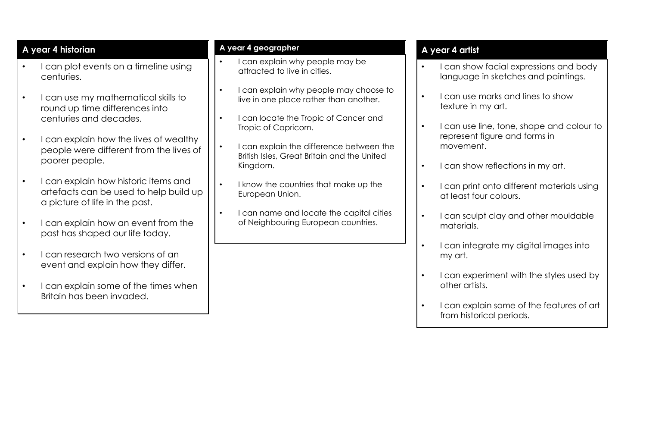# **A year 4 historian**

- I can plot events on a timeline using centuries.
- I can use my mathematical skills to round up time differences into centuries and decades.
- I can explain how the lives of wealthy people were different from the lives of poorer people.
- I can explain how historic items and artefacts can be used to help build up a picture of life in the past.
- I can explain how an event from the past has shaped our life today.
- I can research two versions of an event and explain how they differ.
- I can explain some of the times when Britain has been invaded.

# **A year 4 geographer**

- I can explain why people may be attracted to live in cities.
- I can explain why people may choose to live in one place rather than another.
- I can locate the Tropic of Cancer and Tropic of Capricorn.
- I can explain the difference between the British Isles, Great Britain and the United Kingdom.
- I know the countries that make up the European Union.
- I can name and locate the capital cities of Neighbouring European countries.

# **A year 4 artist**

- I can show facial expressions and body language in sketches and paintings.
- I can use marks and lines to show texture in my art.
- I can use line, tone, shape and colour to represent figure and forms in movement.
- I can show reflections in my art.
- I can print onto different materials using at least four colours.
- I can sculpt clay and other mouldable materials.
- I can integrate my digital images into my art.
- I can experiment with the styles used by other artists.
- I can explain some of the features of art from historical periods.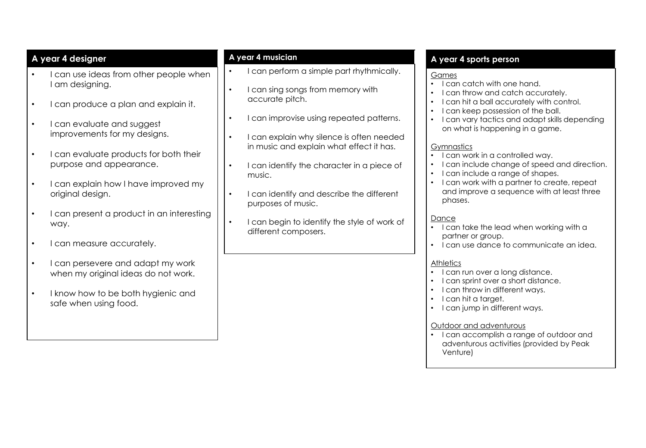# **A year 4 designer**

- I can use ideas from other people when I am designing.
- I can produce a plan and explain it.
- I can evaluate and suggest improvements for my designs.
- I can evaluate products for both their purpose and appearance.
- I can explain how I have improved my original design.
- I can present a product in an interesting way.
- I can measure accurately.
- I can persevere and adapt my work when my original ideas do not work.
- I know how to be both hygienic and safe when using food.

#### **A year 4 musician**

- I can perform a simple part rhythmically.
- I can sing songs from memory with accurate pitch.
- I can improvise using repeated patterns.
- I can explain why silence is often needed in music and explain what effect it has.
- I can identify the character in a piece of music.
- I can identify and describe the different purposes of music.
- I can begin to identify the style of work of different composers.

# **A year 4 sports person**

#### **Games**

- I can catch with one hand.
- I can throw and catch accurately.
- I can hit a ball accurately with control.
- I can keep possession of the ball.
- I can vary tactics and adapt skills depending on what is happening in a game.

# **Gymnastics**

- I can work in a controlled way.
- I can include change of speed and direction.
- I can include a range of shapes.
- I can work with a partner to create, repeat and improve a sequence with at least three phases.

#### Dance

- I can take the lead when working with a partner or group.
- I can use dance to communicate an idea.

#### **Athletics**

- I can run over a long distance.
- I can sprint over a short distance.
- I can throw in different ways.
- I can hit a target.
- I can jump in different ways.

#### Outdoor and adventurous

• I can accomplish a range of outdoor and adventurous activities (provided by Peak Venture)